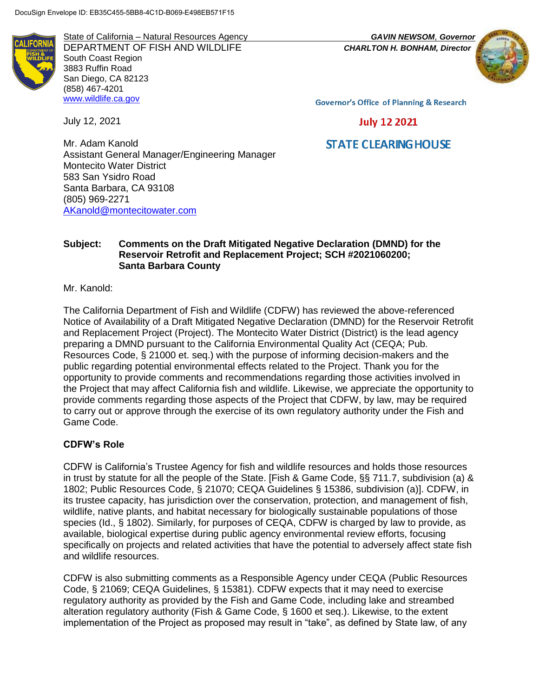**IFOR** 

State of California – Natural Resources Agency *GAVIN NEWSOM*, *Governor* DEPARTMENT OF FISH AND WILDLIFE *CHARLTON H. BONHAM, Director* South Coast Region 3883 Ruffin Road San Diego, CA 82123 (858) 467-4201 [www.wildlife.ca.gov](http://www.wildlife.ca.gov/)

July 12, 2021



**Governor's Office of Planning & Research** 

# **July 12 2021**

# **STATE CLEARING HOUSE**

Mr. Adam Kanold Assistant General Manager/Engineering Manager Montecito Water District 583 San Ysidro Road Santa Barbara, CA 93108 (805) 969-2271 [AKanold@montecitowater.com](mailto:AKanold@montecitowater.com)

## **Subject: Comments on the Draft Mitigated Negative Declaration (DMND) for the Reservoir Retrofit and Replacement Project; SCH #2021060200; Santa Barbara County**

Mr. Kanold:

The California Department of Fish and Wildlife (CDFW) has reviewed the above-referenced Notice of Availability of a Draft Mitigated Negative Declaration (DMND) for the Reservoir Retrofit and Replacement Project (Project). The Montecito Water District (District) is the lead agency preparing a DMND pursuant to the California Environmental Quality Act (CEQA; Pub. Resources Code, § 21000 et. seq.) with the purpose of informing decision-makers and the public regarding potential environmental effects related to the Project. Thank you for the opportunity to provide comments and recommendations regarding those activities involved in the Project that may affect California fish and wildlife. Likewise, we appreciate the opportunity to provide comments regarding those aspects of the Project that CDFW, by law, may be required to carry out or approve through the exercise of its own regulatory authority under the Fish and Game Code.

## **CDFW's Role**

CDFW is California's Trustee Agency for fish and wildlife resources and holds those resources in trust by statute for all the people of the State. [Fish & Game Code, §§ 711.7, subdivision (a) & 1802; Public Resources Code, § 21070; CEQA Guidelines § 15386, subdivision (a)]. CDFW, in its trustee capacity, has jurisdiction over the conservation, protection, and management of fish, wildlife, native plants, and habitat necessary for biologically sustainable populations of those species (Id., § 1802). Similarly, for purposes of CEQA, CDFW is charged by law to provide, as available, biological expertise during public agency environmental review efforts, focusing specifically on projects and related activities that have the potential to adversely affect state fish and wildlife resources.

CDFW is also submitting comments as a Responsible Agency under CEQA (Public Resources Code, § 21069; CEQA Guidelines, § 15381). CDFW expects that it may need to exercise regulatory authority as provided by the Fish and Game Code, including lake and streambed alteration regulatory authority (Fish & Game Code, § 1600 et seq.). Likewise, to the extent implementation of the Project as proposed may result in "take", as defined by State law, of any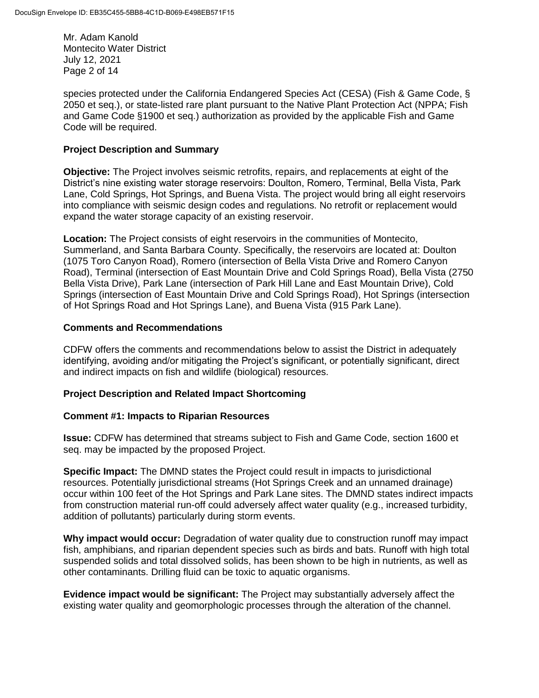Mr. Adam Kanold Montecito Water District July 12, 2021 Page 2 of 14

species protected under the California Endangered Species Act (CESA) (Fish & Game Code, § 2050 et seq.), or state-listed rare plant pursuant to the Native Plant Protection Act (NPPA; Fish and Game Code §1900 et seq.) authorization as provided by the applicable Fish and Game Code will be required.

### **Project Description and Summary**

**Objective:** The Project involves seismic retrofits, repairs, and replacements at eight of the District's nine existing water storage reservoirs: Doulton, Romero, Terminal, Bella Vista, Park Lane, Cold Springs, Hot Springs, and Buena Vista. The project would bring all eight reservoirs into compliance with seismic design codes and regulations. No retrofit or replacement would expand the water storage capacity of an existing reservoir.

**Location:** The Project consists of eight reservoirs in the communities of Montecito, Summerland, and Santa Barbara County. Specifically, the reservoirs are located at: Doulton (1075 Toro Canyon Road), Romero (intersection of Bella Vista Drive and Romero Canyon Road), Terminal (intersection of East Mountain Drive and Cold Springs Road), Bella Vista (2750 Bella Vista Drive), Park Lane (intersection of Park Hill Lane and East Mountain Drive), Cold Springs (intersection of East Mountain Drive and Cold Springs Road), Hot Springs (intersection of Hot Springs Road and Hot Springs Lane), and Buena Vista (915 Park Lane).

#### **Comments and Recommendations**

CDFW offers the comments and recommendations below to assist the District in adequately identifying, avoiding and/or mitigating the Project's significant, or potentially significant, direct and indirect impacts on fish and wildlife (biological) resources.

## **Project Description and Related Impact Shortcoming**

#### **Comment #1: Impacts to Riparian Resources**

**Issue:** CDFW has determined that streams subject to Fish and Game Code, section 1600 et seq. may be impacted by the proposed Project.

**Specific Impact:** The DMND states the Project could result in impacts to jurisdictional resources. Potentially jurisdictional streams (Hot Springs Creek and an unnamed drainage) occur within 100 feet of the Hot Springs and Park Lane sites. The DMND states indirect impacts from construction material run-off could adversely affect water quality (e.g., increased turbidity, addition of pollutants) particularly during storm events.

**Why impact would occur:** Degradation of water quality due to construction runoff may impact fish, amphibians, and riparian dependent species such as birds and bats. Runoff with high total suspended solids and total dissolved solids, has been shown to be high in nutrients, as well as other contaminants. Drilling fluid can be toxic to aquatic organisms.

**Evidence impact would be significant:** The Project may substantially adversely affect the existing water quality and geomorphologic processes through the alteration of the channel.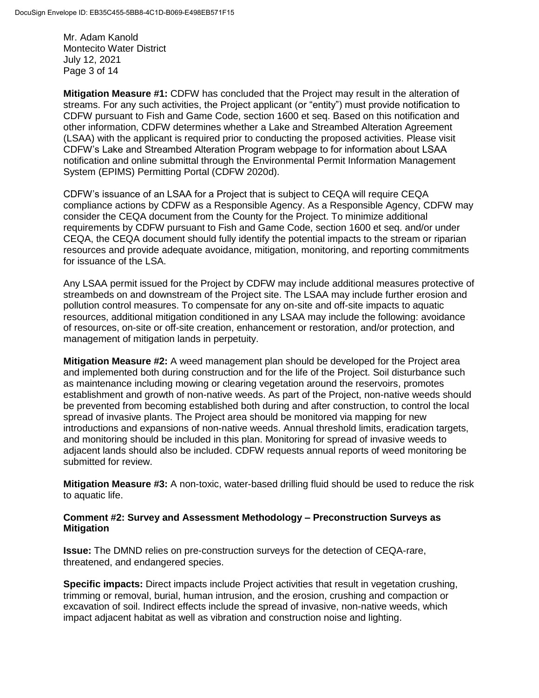Mr. Adam Kanold Montecito Water District July 12, 2021 Page 3 of 14

**Mitigation Measure #1:** CDFW has concluded that the Project may result in the alteration of streams. For any such activities, the Project applicant (or "entity") must provide notification to CDFW pursuant to Fish and Game Code, section 1600 et seq. Based on this notification and other information, CDFW determines whether a Lake and Streambed Alteration Agreement (LSAA) with the applicant is required prior to conducting the proposed activities. Please visit CDFW's Lake and Streambed Alteration Program webpage to for information about LSAA notification and online submittal through the Environmental Permit Information Management System (EPIMS) Permitting Portal (CDFW 2020d).

CDFW's issuance of an LSAA for a Project that is subject to CEQA will require CEQA compliance actions by CDFW as a Responsible Agency. As a Responsible Agency, CDFW may consider the CEQA document from the County for the Project. To minimize additional requirements by CDFW pursuant to Fish and Game Code, section 1600 et seq. and/or under CEQA, the CEQA document should fully identify the potential impacts to the stream or riparian resources and provide adequate avoidance, mitigation, monitoring, and reporting commitments for issuance of the LSA.

Any LSAA permit issued for the Project by CDFW may include additional measures protective of streambeds on and downstream of the Project site. The LSAA may include further erosion and pollution control measures. To compensate for any on-site and off-site impacts to aquatic resources, additional mitigation conditioned in any LSAA may include the following: avoidance of resources, on-site or off-site creation, enhancement or restoration, and/or protection, and management of mitigation lands in perpetuity.

**Mitigation Measure #2:** A weed management plan should be developed for the Project area and implemented both during construction and for the life of the Project. Soil disturbance such as maintenance including mowing or clearing vegetation around the reservoirs, promotes establishment and growth of non-native weeds. As part of the Project, non-native weeds should be prevented from becoming established both during and after construction, to control the local spread of invasive plants. The Project area should be monitored via mapping for new introductions and expansions of non-native weeds. Annual threshold limits, eradication targets, and monitoring should be included in this plan. Monitoring for spread of invasive weeds to adjacent lands should also be included. CDFW requests annual reports of weed monitoring be submitted for review.

**Mitigation Measure #3:** A non-toxic, water-based drilling fluid should be used to reduce the risk to aquatic life.

### **Comment #2: Survey and Assessment Methodology – Preconstruction Surveys as Mitigation**

**Issue:** The DMND relies on pre-construction surveys for the detection of CEQA-rare, threatened, and endangered species.

**Specific impacts:** Direct impacts include Project activities that result in vegetation crushing, trimming or removal, burial, human intrusion, and the erosion, crushing and compaction or excavation of soil. Indirect effects include the spread of invasive, non-native weeds, which impact adjacent habitat as well as vibration and construction noise and lighting.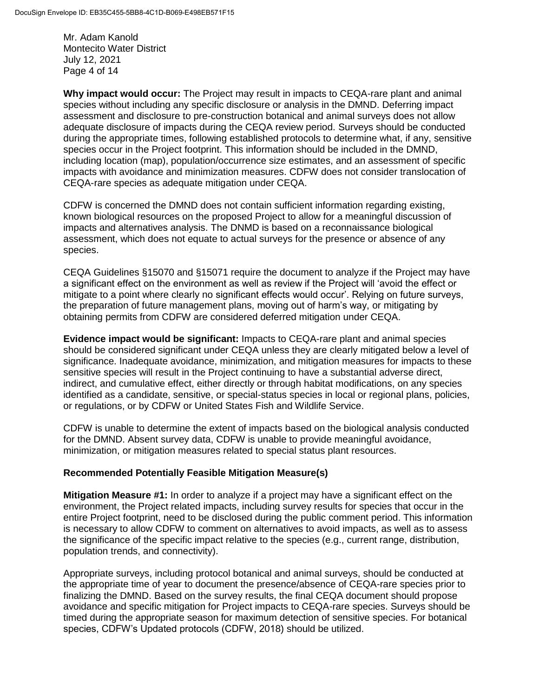Mr. Adam Kanold Montecito Water District July 12, 2021 Page 4 of 14

**Why impact would occur:** The Project may result in impacts to CEQA-rare plant and animal species without including any specific disclosure or analysis in the DMND. Deferring impact assessment and disclosure to pre-construction botanical and animal surveys does not allow adequate disclosure of impacts during the CEQA review period. Surveys should be conducted during the appropriate times, following established protocols to determine what, if any, sensitive species occur in the Project footprint. This information should be included in the DMND, including location (map), population/occurrence size estimates, and an assessment of specific impacts with avoidance and minimization measures. CDFW does not consider translocation of CEQA-rare species as adequate mitigation under CEQA.

CDFW is concerned the DMND does not contain sufficient information regarding existing, known biological resources on the proposed Project to allow for a meaningful discussion of impacts and alternatives analysis. The DNMD is based on a reconnaissance biological assessment, which does not equate to actual surveys for the presence or absence of any species.

CEQA Guidelines §15070 and §15071 require the document to analyze if the Project may have a significant effect on the environment as well as review if the Project will 'avoid the effect or mitigate to a point where clearly no significant effects would occur'. Relying on future surveys, the preparation of future management plans, moving out of harm's way, or mitigating by obtaining permits from CDFW are considered deferred mitigation under CEQA.

**Evidence impact would be significant:** Impacts to CEQA-rare plant and animal species should be considered significant under CEQA unless they are clearly mitigated below a level of significance. Inadequate avoidance, minimization, and mitigation measures for impacts to these sensitive species will result in the Project continuing to have a substantial adverse direct, indirect, and cumulative effect, either directly or through habitat modifications, on any species identified as a candidate, sensitive, or special-status species in local or regional plans, policies, or regulations, or by CDFW or United States Fish and Wildlife Service.

CDFW is unable to determine the extent of impacts based on the biological analysis conducted for the DMND. Absent survey data, CDFW is unable to provide meaningful avoidance, minimization, or mitigation measures related to special status plant resources.

## **Recommended Potentially Feasible Mitigation Measure(s)**

**Mitigation Measure #1:** In order to analyze if a project may have a significant effect on the environment, the Project related impacts, including survey results for species that occur in the entire Project footprint, need to be disclosed during the public comment period. This information is necessary to allow CDFW to comment on alternatives to avoid impacts, as well as to assess the significance of the specific impact relative to the species (e.g., current range, distribution, population trends, and connectivity).

Appropriate surveys, including protocol botanical and animal surveys, should be conducted at the appropriate time of year to document the presence/absence of CEQA-rare species prior to finalizing the DMND. Based on the survey results, the final CEQA document should propose avoidance and specific mitigation for Project impacts to CEQA-rare species. Surveys should be timed during the appropriate season for maximum detection of sensitive species. For botanical species, CDFW's Updated protocols (CDFW, 2018) should be utilized.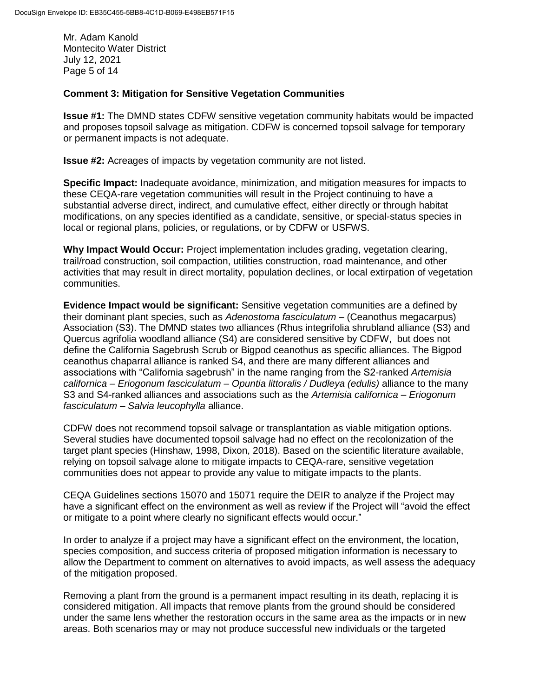Mr. Adam Kanold Montecito Water District July 12, 2021 Page 5 of 14

#### **Comment 3: Mitigation for Sensitive Vegetation Communities**

**Issue #1:** The DMND states CDFW sensitive vegetation community habitats would be impacted and proposes topsoil salvage as mitigation. CDFW is concerned topsoil salvage for temporary or permanent impacts is not adequate.

**Issue #2:** Acreages of impacts by vegetation community are not listed.

**Specific Impact:** Inadequate avoidance, minimization, and mitigation measures for impacts to these CEQA-rare vegetation communities will result in the Project continuing to have a substantial adverse direct, indirect, and cumulative effect, either directly or through habitat modifications, on any species identified as a candidate, sensitive, or special-status species in local or regional plans, policies, or regulations, or by CDFW or USFWS.

**Why Impact Would Occur:** Project implementation includes grading, vegetation clearing, trail/road construction, soil compaction, utilities construction, road maintenance, and other activities that may result in direct mortality, population declines, or local extirpation of vegetation communities.

**Evidence Impact would be significant:** Sensitive vegetation communities are a defined by their dominant plant species, such as *Adenostoma fasciculatum* – (Ceanothus megacarpus) Association (S3). The DMND states two alliances (Rhus integrifolia shrubland alliance (S3) and Quercus agrifolia woodland alliance (S4) are considered sensitive by CDFW, but does not define the California Sagebrush Scrub or Bigpod ceanothus as specific alliances. The Bigpod ceanothus chaparral alliance is ranked S4, and there are many different alliances and associations with "California sagebrush" in the name ranging from the S2-ranked *Artemisia californica – Eriogonum fasciculatum – Opuntia littoralis / Dudleya (edulis)* alliance to the many S3 and S4-ranked alliances and associations such as the *Artemisia californica – Eriogonum fasciculatum – Salvia leucophylla* alliance.

CDFW does not recommend topsoil salvage or transplantation as viable mitigation options. Several studies have documented topsoil salvage had no effect on the recolonization of the target plant species (Hinshaw, 1998, Dixon, 2018). Based on the scientific literature available, relying on topsoil salvage alone to mitigate impacts to CEQA-rare, sensitive vegetation communities does not appear to provide any value to mitigate impacts to the plants.

CEQA Guidelines sections 15070 and 15071 require the DEIR to analyze if the Project may have a significant effect on the environment as well as review if the Project will "avoid the effect or mitigate to a point where clearly no significant effects would occur."

In order to analyze if a project may have a significant effect on the environment, the location, species composition, and success criteria of proposed mitigation information is necessary to allow the Department to comment on alternatives to avoid impacts, as well assess the adequacy of the mitigation proposed.

Removing a plant from the ground is a permanent impact resulting in its death, replacing it is considered mitigation. All impacts that remove plants from the ground should be considered under the same lens whether the restoration occurs in the same area as the impacts or in new areas. Both scenarios may or may not produce successful new individuals or the targeted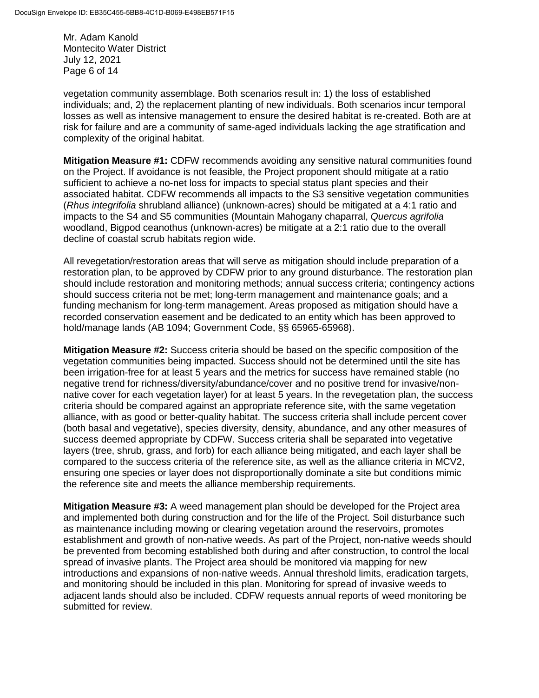Mr. Adam Kanold Montecito Water District July 12, 2021 Page 6 of 14

vegetation community assemblage. Both scenarios result in: 1) the loss of established individuals; and, 2) the replacement planting of new individuals. Both scenarios incur temporal losses as well as intensive management to ensure the desired habitat is re-created. Both are at risk for failure and are a community of same-aged individuals lacking the age stratification and complexity of the original habitat.

**Mitigation Measure #1:** CDFW recommends avoiding any sensitive natural communities found on the Project. If avoidance is not feasible, the Project proponent should mitigate at a ratio sufficient to achieve a no-net loss for impacts to special status plant species and their associated habitat. CDFW recommends all impacts to the S3 sensitive vegetation communities (*Rhus integrifolia* shrubland alliance) (unknown-acres) should be mitigated at a 4:1 ratio and impacts to the S4 and S5 communities (Mountain Mahogany chaparral, *Quercus agrifolia* woodland, Bigpod ceanothus (unknown-acres) be mitigate at a 2:1 ratio due to the overall decline of coastal scrub habitats region wide.

All revegetation/restoration areas that will serve as mitigation should include preparation of a restoration plan, to be approved by CDFW prior to any ground disturbance. The restoration plan should include restoration and monitoring methods; annual success criteria; contingency actions should success criteria not be met; long-term management and maintenance goals; and a funding mechanism for long-term management. Areas proposed as mitigation should have a recorded conservation easement and be dedicated to an entity which has been approved to hold/manage lands (AB 1094; Government Code, §§ 65965-65968).

**Mitigation Measure #2:** Success criteria should be based on the specific composition of the vegetation communities being impacted. Success should not be determined until the site has been irrigation-free for at least 5 years and the metrics for success have remained stable (no negative trend for richness/diversity/abundance/cover and no positive trend for invasive/nonnative cover for each vegetation layer) for at least 5 years. In the revegetation plan, the success criteria should be compared against an appropriate reference site, with the same vegetation alliance, with as good or better-quality habitat. The success criteria shall include percent cover (both basal and vegetative), species diversity, density, abundance, and any other measures of success deemed appropriate by CDFW. Success criteria shall be separated into vegetative layers (tree, shrub, grass, and forb) for each alliance being mitigated, and each layer shall be compared to the success criteria of the reference site, as well as the alliance criteria in MCV2, ensuring one species or layer does not disproportionally dominate a site but conditions mimic the reference site and meets the alliance membership requirements.

**Mitigation Measure #3:** A weed management plan should be developed for the Project area and implemented both during construction and for the life of the Project. Soil disturbance such as maintenance including mowing or clearing vegetation around the reservoirs, promotes establishment and growth of non-native weeds. As part of the Project, non-native weeds should be prevented from becoming established both during and after construction, to control the local spread of invasive plants. The Project area should be monitored via mapping for new introductions and expansions of non-native weeds. Annual threshold limits, eradication targets, and monitoring should be included in this plan. Monitoring for spread of invasive weeds to adjacent lands should also be included. CDFW requests annual reports of weed monitoring be submitted for review.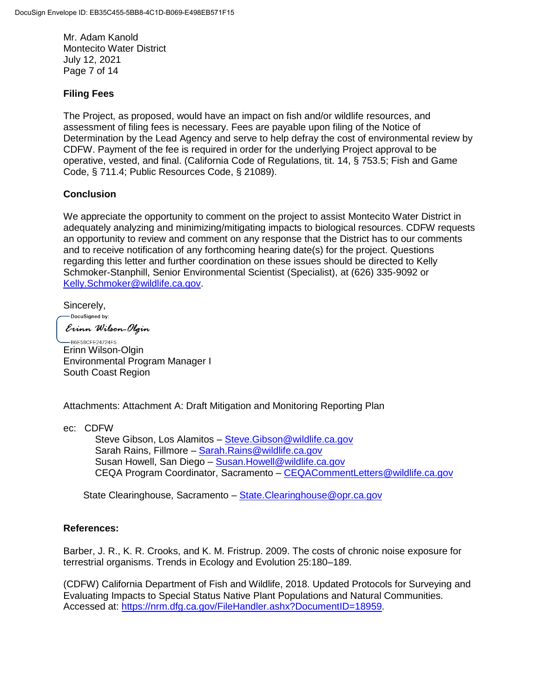Mr. Adam Kanold Montecito Water District July 12, 2021 Page 7 of 14

## **Filing Fees**

The Project, as proposed, would have an impact on fish and/or wildlife resources, and assessment of filing fees is necessary. Fees are payable upon filing of the Notice of Determination by the Lead Agency and serve to help defray the cost of environmental review by CDFW. Payment of the fee is required in order for the underlying Project approval to be operative, vested, and final. (California Code of Regulations, tit. 14, § 753.5; Fish and Game Code, § 711.4; Public Resources Code, § 21089).

### **Conclusion**

We appreciate the opportunity to comment on the project to assist Montecito Water District in adequately analyzing and minimizing/mitigating impacts to biological resources. CDFW requests an opportunity to review and comment on any response that the District has to our comments and to receive notification of any forthcoming hearing date(s) for the project. Questions regarding this letter and further coordination on these issues should be directed to Kelly Schmoker-Stanphill, Senior Environmental Scientist (Specialist), at (626) 335-9092 or [Kelly.Schmoker@wildlife.ca.gov.](mailto:Kelly.Schmoker@wildlife.ca.gov)

Sincerely,

DocuSigned by: Erinn Wilson-Olgin

-B6E58CFE24724F5... Erinn Wilson-Olgin Environmental Program Manager I South Coast Region

Attachments: Attachment A: Draft Mitigation and Monitoring Reporting Plan

ec: CDFW

Steve Gibson, Los Alamitos - Steve. Gibson @wildlife.ca.gov Sarah Rains, Fillmore – [Sarah.Rains@wildlife.ca.gov](mailto:Sarah.Rains@wildlife.ca.gov) Susan Howell, San Diego – [Susan.Howell@wildlife.ca.gov](mailto:Susan.Howell@wildlife.ca.gov) CEQA Program Coordinator, Sacramento – [CEQACommentLetters@wildlife.ca.gov](mailto:CEQACommentLetters@wildlife.ca.gov) 

State Clearinghouse, Sacramento – State. Clearinghouse@opr.ca.gov

#### **References:**

Barber, J. R., K. R. Crooks, and K. M. Fristrup. 2009. The costs of chronic noise exposure for terrestrial organisms. Trends in Ecology and Evolution 25:180–189.

(CDFW) California Department of Fish and Wildlife, 2018. Updated Protocols for Surveying and Evaluating Impacts to Special Status Native Plant Populations and Natural Communities. Accessed at: [https://nrm.dfg.ca.gov/FileHandler.ashx?DocumentID=18959.](https://nrm.dfg.ca.gov/FileHandler.ashx?DocumentID=18959)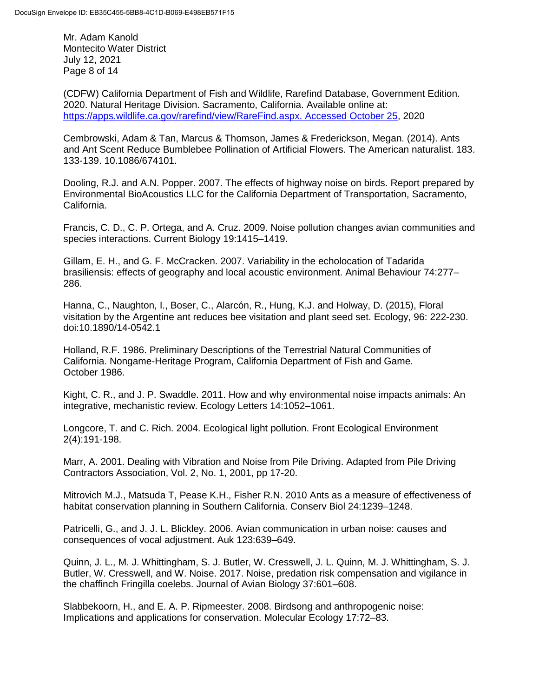Mr. Adam Kanold Montecito Water District July 12, 2021 Page 8 of 14

(CDFW) California Department of Fish and Wildlife, Rarefind Database, Government Edition. 2020. Natural Heritage Division. Sacramento, California. Available online at: [https://apps.wildlife.ca.gov/rarefind/view/RareFind.aspx. Accessed October 25,](https://apps.wildlife.ca.gov/rarefind/view/RareFind.aspx.%20Accessed%20October%2025) 2020

Cembrowski, Adam & Tan, Marcus & Thomson, James & Frederickson, Megan. (2014). Ants and Ant Scent Reduce Bumblebee Pollination of Artificial Flowers. The American naturalist. 183. 133-139. 10.1086/674101.

Dooling, R.J. and A.N. Popper. 2007. The effects of highway noise on birds. Report prepared by Environmental BioAcoustics LLC for the California Department of Transportation, Sacramento, California.

Francis, C. D., C. P. Ortega, and A. Cruz. 2009. Noise pollution changes avian communities and species interactions. Current Biology 19:1415–1419.

Gillam, E. H., and G. F. McCracken. 2007. Variability in the echolocation of Tadarida brasiliensis: effects of geography and local acoustic environment. Animal Behaviour 74:277– 286.

Hanna, C., Naughton, I., Boser, C., Alarcón, R., Hung, K.J. and Holway, D. (2015), Floral visitation by the Argentine ant reduces bee visitation and plant seed set. Ecology, 96: 222-230. doi[:10.1890/14-0542.1](https://doi.org/10.1890/14-0542.1)

Holland, R.F. 1986. Preliminary Descriptions of the Terrestrial Natural Communities of California. Nongame-Heritage Program, California Department of Fish and Game. October 1986.

Kight, C. R., and J. P. Swaddle. 2011. How and why environmental noise impacts animals: An integrative, mechanistic review. Ecology Letters 14:1052–1061.

Longcore, T. and C. Rich. 2004. Ecological light pollution. Front Ecological Environment 2(4):191-198.

Marr, A. 2001. Dealing with Vibration and Noise from Pile Driving. Adapted from Pile Driving Contractors Association, Vol. 2, No. 1, 2001, pp 17-20.

Mitrovich M.J., Matsuda T, Pease K.H., Fisher R.N. 2010 Ants as a measure of effectiveness of habitat conservation planning in Southern California. Conserv Biol 24:1239–1248.

Patricelli, G., and J. J. L. Blickley. 2006. Avian communication in urban noise: causes and consequences of vocal adjustment. Auk 123:639–649.

Quinn, J. L., M. J. Whittingham, S. J. Butler, W. Cresswell, J. L. Quinn, M. J. Whittingham, S. J. Butler, W. Cresswell, and W. Noise. 2017. Noise, predation risk compensation and vigilance in the chaffinch Fringilla coelebs. Journal of Avian Biology 37:601–608.

Slabbekoorn, H., and E. A. P. Ripmeester. 2008. Birdsong and anthropogenic noise: Implications and applications for conservation. Molecular Ecology 17:72–83.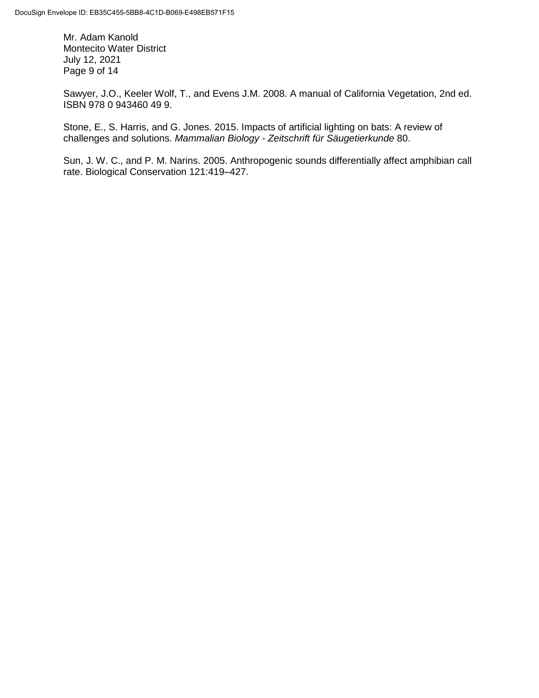Mr. Adam Kanold Montecito Water District July 12, 2021 Page 9 of 14

Sawyer, J.O., Keeler Wolf, T., and Evens J.M. 2008. A manual of California Vegetation, 2nd ed. ISBN 978 0 943460 49 9.

Stone, E., S. Harris, and G. Jones. 2015. Impacts of artificial lighting on bats: A review of challenges and solutions. *Mammalian Biology - Zeitschrift für Säugetierkunde* 80.

Sun, J. W. C., and P. M. Narins. 2005. Anthropogenic sounds differentially affect amphibian call rate. Biological Conservation 121:419–427.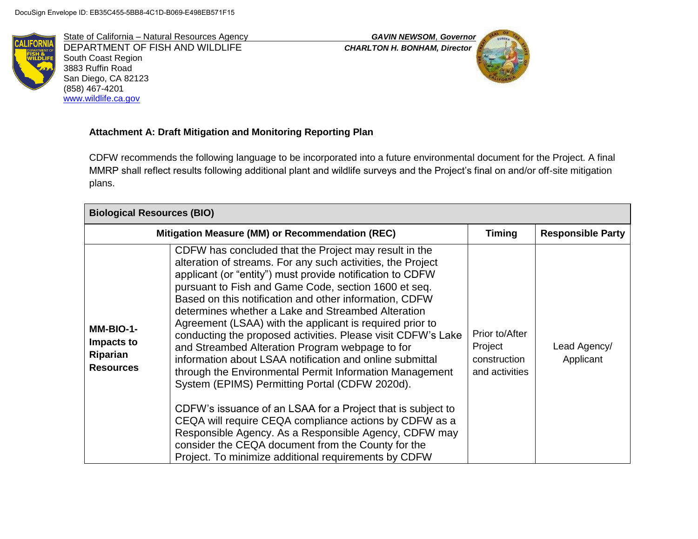

State of California – Natural Resources Agency *GAVIN NEWSOM*, *Governor* DEPARTMENT OF FISH AND WILDLIFE *CHARLTON H. BONHAM, Director* South Coast Region 3883 Ruffin Road San Diego, CA 82123 (858) 467-4201 [www.wildlife.ca.gov](http://www.wildlife.ca.gov/)



# **Attachment A: Draft Mitigation and Monitoring Reporting Plan**

CDFW recommends the following language to be incorporated into a future environmental document for the Project. A final MMRP shall reflect results following additional plant and wildlife surveys and the Project's final on and/or off-site mitigation plans.

| <b>Biological Resources (BIO)</b>                       |                                                                                                                                                                                                                                                                                                                                                                                                                                                                                                                                                                                                                                                                                                                                                                                                                                                                                                                                                                                                                   |                                                             |                           |
|---------------------------------------------------------|-------------------------------------------------------------------------------------------------------------------------------------------------------------------------------------------------------------------------------------------------------------------------------------------------------------------------------------------------------------------------------------------------------------------------------------------------------------------------------------------------------------------------------------------------------------------------------------------------------------------------------------------------------------------------------------------------------------------------------------------------------------------------------------------------------------------------------------------------------------------------------------------------------------------------------------------------------------------------------------------------------------------|-------------------------------------------------------------|---------------------------|
|                                                         | Mitigation Measure (MM) or Recommendation (REC)                                                                                                                                                                                                                                                                                                                                                                                                                                                                                                                                                                                                                                                                                                                                                                                                                                                                                                                                                                   | <b>Timing</b>                                               | <b>Responsible Party</b>  |
| MM-BIO-1-<br>Impacts to<br>Riparian<br><b>Resources</b> | CDFW has concluded that the Project may result in the<br>alteration of streams. For any such activities, the Project<br>applicant (or "entity") must provide notification to CDFW<br>pursuant to Fish and Game Code, section 1600 et seq.<br>Based on this notification and other information, CDFW<br>determines whether a Lake and Streambed Alteration<br>Agreement (LSAA) with the applicant is required prior to<br>conducting the proposed activities. Please visit CDFW's Lake<br>and Streambed Alteration Program webpage to for<br>information about LSAA notification and online submittal<br>through the Environmental Permit Information Management<br>System (EPIMS) Permitting Portal (CDFW 2020d).<br>CDFW's issuance of an LSAA for a Project that is subject to<br>CEQA will require CEQA compliance actions by CDFW as a<br>Responsible Agency. As a Responsible Agency, CDFW may<br>consider the CEQA document from the County for the<br>Project. To minimize additional requirements by CDFW | Prior to/After<br>Project<br>construction<br>and activities | Lead Agency/<br>Applicant |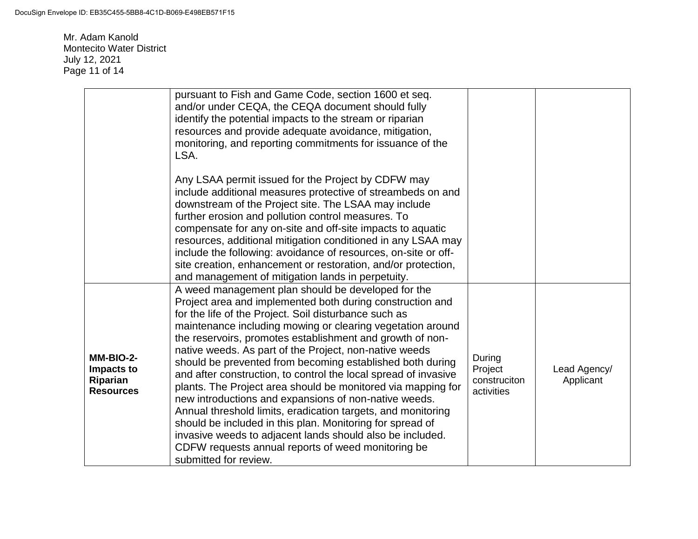Mr. Adam Kanold Montecito Water District July 12, 2021 Page 11 of 14

|                                                         | pursuant to Fish and Game Code, section 1600 et seq.<br>and/or under CEQA, the CEQA document should fully<br>identify the potential impacts to the stream or riparian<br>resources and provide adequate avoidance, mitigation,<br>monitoring, and reporting commitments for issuance of the<br>LSA.                                                                                                                                                                                                                                                                                                                                                                                                                                                                                                                                                                                             |                                                 |                           |
|---------------------------------------------------------|-------------------------------------------------------------------------------------------------------------------------------------------------------------------------------------------------------------------------------------------------------------------------------------------------------------------------------------------------------------------------------------------------------------------------------------------------------------------------------------------------------------------------------------------------------------------------------------------------------------------------------------------------------------------------------------------------------------------------------------------------------------------------------------------------------------------------------------------------------------------------------------------------|-------------------------------------------------|---------------------------|
|                                                         | Any LSAA permit issued for the Project by CDFW may<br>include additional measures protective of streambeds on and<br>downstream of the Project site. The LSAA may include<br>further erosion and pollution control measures. To<br>compensate for any on-site and off-site impacts to aquatic<br>resources, additional mitigation conditioned in any LSAA may<br>include the following: avoidance of resources, on-site or off-<br>site creation, enhancement or restoration, and/or protection,<br>and management of mitigation lands in perpetuity.                                                                                                                                                                                                                                                                                                                                           |                                                 |                           |
| MM-BIO-2-<br>Impacts to<br>Riparian<br><b>Resources</b> | A weed management plan should be developed for the<br>Project area and implemented both during construction and<br>for the life of the Project. Soil disturbance such as<br>maintenance including mowing or clearing vegetation around<br>the reservoirs, promotes establishment and growth of non-<br>native weeds. As part of the Project, non-native weeds<br>should be prevented from becoming established both during<br>and after construction, to control the local spread of invasive<br>plants. The Project area should be monitored via mapping for<br>new introductions and expansions of non-native weeds.<br>Annual threshold limits, eradication targets, and monitoring<br>should be included in this plan. Monitoring for spread of<br>invasive weeds to adjacent lands should also be included.<br>CDFW requests annual reports of weed monitoring be<br>submitted for review. | During<br>Project<br>construciton<br>activities | Lead Agency/<br>Applicant |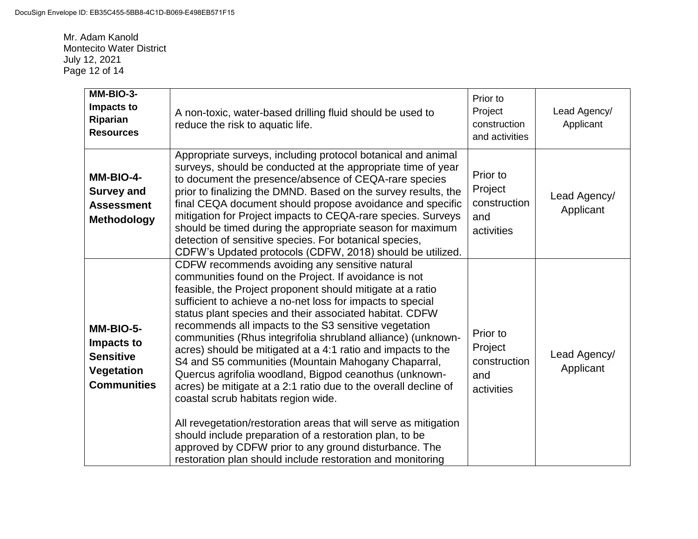Mr. Adam Kanold Montecito Water District July 12, 2021 Page 12 of 14

| MM-BIO-3-<br>Impacts to<br>Riparian<br><b>Resources</b>                                | A non-toxic, water-based drilling fluid should be used to<br>reduce the risk to aquatic life.                                                                                                                                                                                                                                                                                                                                                                                                                                                                                                                                                                                                                                                                                                                                                                                                                                                                            | Prior to<br>Project<br>construction<br>and activities    | Lead Agency/<br>Applicant |
|----------------------------------------------------------------------------------------|--------------------------------------------------------------------------------------------------------------------------------------------------------------------------------------------------------------------------------------------------------------------------------------------------------------------------------------------------------------------------------------------------------------------------------------------------------------------------------------------------------------------------------------------------------------------------------------------------------------------------------------------------------------------------------------------------------------------------------------------------------------------------------------------------------------------------------------------------------------------------------------------------------------------------------------------------------------------------|----------------------------------------------------------|---------------------------|
| MM-BIO-4-<br><b>Survey and</b><br><b>Assessment</b><br><b>Methodology</b>              | Appropriate surveys, including protocol botanical and animal<br>surveys, should be conducted at the appropriate time of year<br>to document the presence/absence of CEQA-rare species<br>prior to finalizing the DMND. Based on the survey results, the<br>final CEQA document should propose avoidance and specific<br>mitigation for Project impacts to CEQA-rare species. Surveys<br>should be timed during the appropriate season for maximum<br>detection of sensitive species. For botanical species,<br>CDFW's Updated protocols (CDFW, 2018) should be utilized.                                                                                                                                                                                                                                                                                                                                                                                                 | Prior to<br>Project<br>construction<br>and<br>activities | Lead Agency/<br>Applicant |
| MM-BIO-5-<br>Impacts to<br><b>Sensitive</b><br><b>Vegetation</b><br><b>Communities</b> | CDFW recommends avoiding any sensitive natural<br>communities found on the Project. If avoidance is not<br>feasible, the Project proponent should mitigate at a ratio<br>sufficient to achieve a no-net loss for impacts to special<br>status plant species and their associated habitat. CDFW<br>recommends all impacts to the S3 sensitive vegetation<br>communities (Rhus integrifolia shrubland alliance) (unknown-<br>acres) should be mitigated at a 4:1 ratio and impacts to the<br>S4 and S5 communities (Mountain Mahogany Chaparral,<br>Quercus agrifolia woodland, Bigpod ceanothus (unknown-<br>acres) be mitigate at a 2:1 ratio due to the overall decline of<br>coastal scrub habitats region wide.<br>All revegetation/restoration areas that will serve as mitigation<br>should include preparation of a restoration plan, to be<br>approved by CDFW prior to any ground disturbance. The<br>restoration plan should include restoration and monitoring | Prior to<br>Project<br>construction<br>and<br>activities | Lead Agency/<br>Applicant |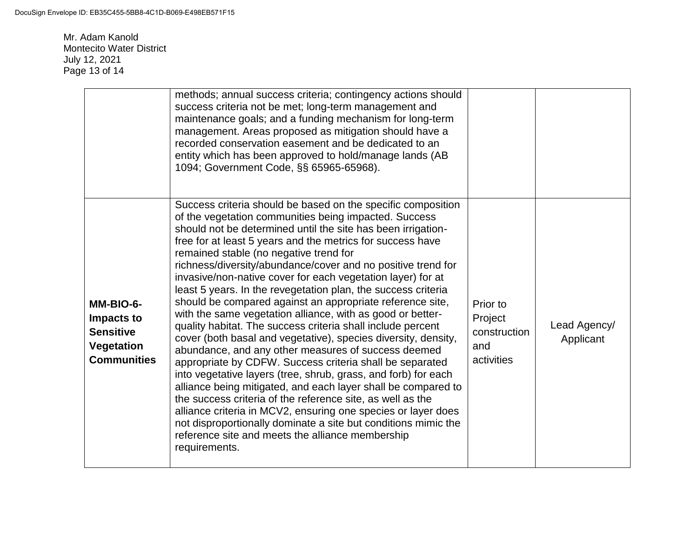Mr. Adam Kanold Montecito Water District July 12, 2021 Page 13 of 14

|                                                                                        | methods; annual success criteria; contingency actions should<br>success criteria not be met; long-term management and<br>maintenance goals; and a funding mechanism for long-term<br>management. Areas proposed as mitigation should have a<br>recorded conservation easement and be dedicated to an<br>entity which has been approved to hold/manage lands (AB<br>1094; Government Code, §§ 65965-65968).                                                                                                                                                                                                                                                                                                                                                                                                                                                                                                                                                                                                                                                                                                                                                                                                                                                                            |                                                          |                           |
|----------------------------------------------------------------------------------------|---------------------------------------------------------------------------------------------------------------------------------------------------------------------------------------------------------------------------------------------------------------------------------------------------------------------------------------------------------------------------------------------------------------------------------------------------------------------------------------------------------------------------------------------------------------------------------------------------------------------------------------------------------------------------------------------------------------------------------------------------------------------------------------------------------------------------------------------------------------------------------------------------------------------------------------------------------------------------------------------------------------------------------------------------------------------------------------------------------------------------------------------------------------------------------------------------------------------------------------------------------------------------------------|----------------------------------------------------------|---------------------------|
| MM-BIO-6-<br>Impacts to<br><b>Sensitive</b><br><b>Vegetation</b><br><b>Communities</b> | Success criteria should be based on the specific composition<br>of the vegetation communities being impacted. Success<br>should not be determined until the site has been irrigation-<br>free for at least 5 years and the metrics for success have<br>remained stable (no negative trend for<br>richness/diversity/abundance/cover and no positive trend for<br>invasive/non-native cover for each vegetation layer) for at<br>least 5 years. In the revegetation plan, the success criteria<br>should be compared against an appropriate reference site,<br>with the same vegetation alliance, with as good or better-<br>quality habitat. The success criteria shall include percent<br>cover (both basal and vegetative), species diversity, density,<br>abundance, and any other measures of success deemed<br>appropriate by CDFW. Success criteria shall be separated<br>into vegetative layers (tree, shrub, grass, and forb) for each<br>alliance being mitigated, and each layer shall be compared to<br>the success criteria of the reference site, as well as the<br>alliance criteria in MCV2, ensuring one species or layer does<br>not disproportionally dominate a site but conditions mimic the<br>reference site and meets the alliance membership<br>requirements. | Prior to<br>Project<br>construction<br>and<br>activities | Lead Agency/<br>Applicant |